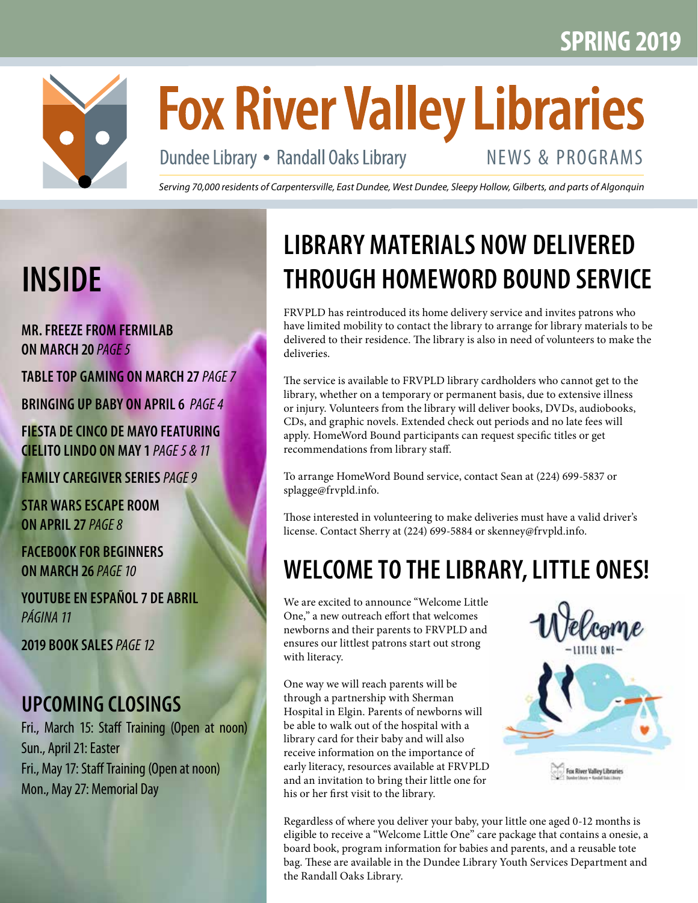

# **Fox River Valley Libraries**

Dundee Library • Randall Oaks Library

# NEWS & PROGRAMS

*Serving 70,000 residents of Carpentersville, East Dundee, West Dundee, Sleepy Hollow, Gilberts, and parts of Algonquin*

# **INSIDE**

**MR. FREEZE FROM FERMILAB ON MARCH 20** *PAGE 5*

**TABLE TOP GAMING ON MARCH 27** *PAGE 7*

**BRINGING UP BABY ON APRIL 6** *PAGE 4*

**FIESTA DE CINCO DE MAYO FEATURING CIELITO LINDO ON MAY 1** *PAGE 5 & 11*

**FAMILY CAREGIVER SERIES** *PAGE 9*

**STAR WARS ESCAPE ROOM ON APRIL 27** *PAGE 8*

**FACEBOOK FOR BEGINNERS ON MARCH 26** *PAGE 10*

**YOUTUBE EN ESPAÑOL 7 DE ABRIL** *PÁGINA 11*

**2019 BOOK SALES** *PAGE 12*

## **UPCOMING CLOSINGS**

Fri., March 15: Staff Training (Open at noon) Sun., April 21: Easter Fri., May 17: Staff Training (Open at noon) Mon., May 27: Memorial Day

# **LIBRARY MATERIALS NOW DELIVERED THROUGH HOMEWORD BOUND SERVICE**

FRVPLD has reintroduced its home delivery service and invites patrons who have limited mobility to contact the library to arrange for library materials to be delivered to their residence. The library is also in need of volunteers to make the deliveries.

The service is available to FRVPLD library cardholders who cannot get to the library, whether on a temporary or permanent basis, due to extensive illness or injury. Volunteers from the library will deliver books, DVDs, audiobooks, CDs, and graphic novels. Extended check out periods and no late fees will apply. HomeWord Bound participants can request specific titles or get recommendations from library staff.

To arrange HomeWord Bound service, contact Sean at (224) 699-5837 or splagge@frvpld.info.

Those interested in volunteering to make deliveries must have a valid driver's license. Contact Sherry at (224) 699-5884 or skenney@frvpld.info.

# **WELCOME TO THE LIBRARY, LITTLE ONES!**

We are excited to announce "Welcome Little One," a new outreach effort that welcomes newborns and their parents to FRVPLD and ensures our littlest patrons start out strong with literacy.

One way we will reach parents will be through a partnership with Sherman Hospital in Elgin. Parents of newborns will be able to walk out of the hospital with a library card for their baby and will also receive information on the importance of early literacy, resources available at FRVPLD, and an invitation to bring their little one for his or her first visit to the library.



Regardless of where you deliver your baby, your little one aged 0-12 months is eligible to receive a "Welcome Little One" care package that contains a onesie, a board book, program information for babies and parents, and a reusable tote bag. These are available in the Dundee Library Youth Services Department and the Randall Oaks Library.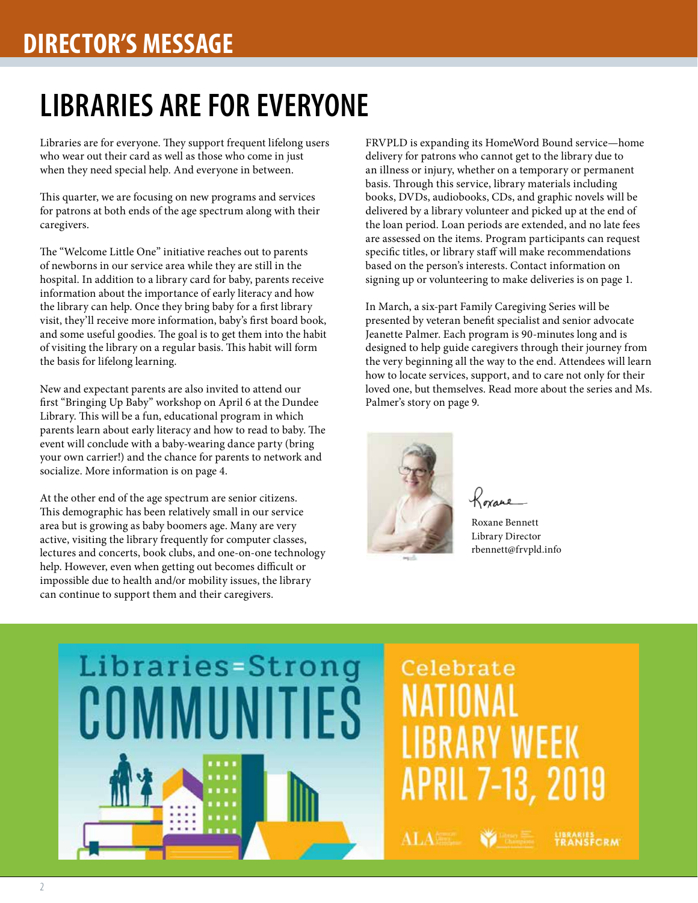# **DIRECTOR'S MESSAGE**

# **LIBRARIES ARE FOR EVERYONE**

Libraries are for everyone. They support frequent lifelong users who wear out their card as well as those who come in just when they need special help. And everyone in between.

This quarter, we are focusing on new programs and services for patrons at both ends of the age spectrum along with their caregivers.

The "Welcome Little One" initiative reaches out to parents of newborns in our service area while they are still in the hospital. In addition to a library card for baby, parents receive information about the importance of early literacy and how the library can help. Once they bring baby for a first library visit, they'll receive more information, baby's first board book, and some useful goodies. The goal is to get them into the habit of visiting the library on a regular basis. This habit will form the basis for lifelong learning.

New and expectant parents are also invited to attend our first "Bringing Up Baby" workshop on April 6 at the Dundee Library. This will be a fun, educational program in which parents learn about early literacy and how to read to baby. The event will conclude with a baby-wearing dance party (bring your own carrier!) and the chance for parents to network and socialize. More information is on page 4.

At the other end of the age spectrum are senior citizens. This demographic has been relatively small in our service area but is growing as baby boomers age. Many are very active, visiting the library frequently for computer classes, lectures and concerts, book clubs, and one-on-one technology help. However, even when getting out becomes difficult or impossible due to health and/or mobility issues, the library can continue to support them and their caregivers.

FRVPLD is expanding its HomeWord Bound service—home delivery for patrons who cannot get to the library due to an illness or injury, whether on a temporary or permanent basis. Through this service, library materials including books, DVDs, audiobooks, CDs, and graphic novels will be delivered by a library volunteer and picked up at the end of the loan period. Loan periods are extended, and no late fees are assessed on the items. Program participants can request specific titles, or library staff will make recommendations based on the person's interests. Contact information on signing up or volunteering to make deliveries is on page 1.

In March, a six-part Family Caregiving Series will be presented by veteran benefit specialist and senior advocate Jeanette Palmer. Each program is 90-minutes long and is designed to help guide caregivers through their journey from the very beginning all the way to the end. Attendees will learn how to locate services, support, and to care not only for their loved one, but themselves. Read more about the series and Ms. Palmer's story on page 9.



Roxane

Roxane Bennett Library Director rbennett@frvpld.info

# Libraries=Strong COMMUNITIES

# Celebrate RRARY WFFK APRIL 7-13, 2019

**ALA** 

**LIBRARIES**<br>TRANSFCRM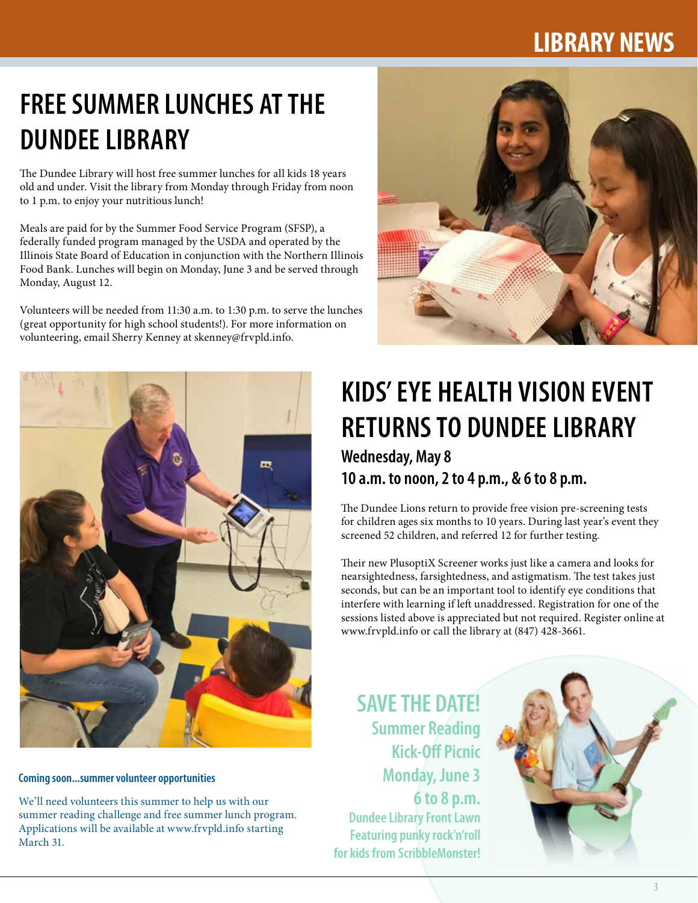# **LIBRARY NEWS**

# **FREE SUMMER LUNCHES AT THE DUNDEE LIBRARY**

The Dundee Library will host free summer lunches for all kids 18 years old and under. Visit the library from Monday through Friday from noon to 1 p.m. to enjoy your nutritious lunch!

Meals are paid for by the Summer Food Service Program (SFSP), a federally funded program managed by the USDA and operated by the Illinois State Board of Education in conjunction with the Northern Illinois Food Bank. Lunches will begin on Monday, June 3 and be served through Monday, August 12.

Volunteers will be needed from 11:30 a.m. to 1:30 p.m. to serve the lunches (great opportunity for high school students!). For more information on volunteering, email Sherry Kenney at skenney@frvpld.info.





**Coming soon...summer volunteer opportunities**

We'll need volunteers this summer to help us with our summer reading challenge and free summer lunch program. Applications will be available at www.frvpld.info starting March 31.

# **KIDS' EYE HEALTH VISION EVENT RETURNS TO DUNDEE LIBRARY**

**Wednesday, May 8 10 a.m. to noon, 2 to 4 p.m., & 6 to 8 p.m.**

The Dundee Lions return to provide free vision pre-screening tests for children ages six months to 10 years. During last year's event they screened 52 children, and referred 12 for further testing.

Their new PlusoptiX Screener works just like a camera and looks for nearsightedness, farsightedness, and astigmatism. The test takes just seconds, but can be an important tool to identify eye conditions that interfere with learning if left unaddressed. Registration for one of the sessions listed above is appreciated but not required. Register online at www.frvpld.info or call the library at (847) 428-3661.

**SAVE THE DATE! Summer Reading Kick-Off Picnic Monday, June 3 6 to 8 p.m. Dundee Library Front Lawn Featuring punky rock'n'roll for kids from ScribbleMonster!**

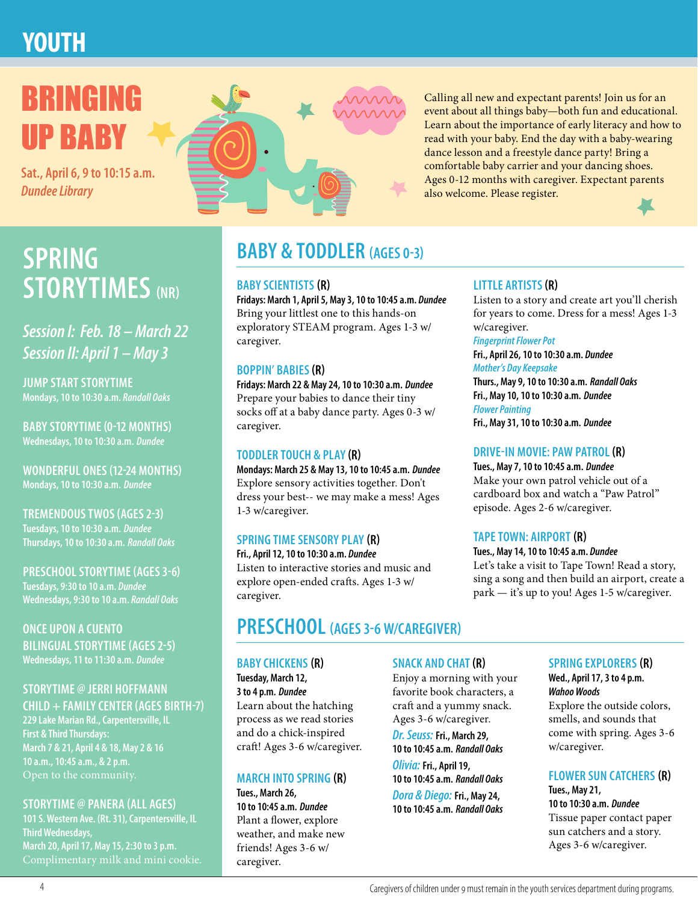# **YOUTH**



Calling all new and expectant parents! Join us for an event about all things baby—both fun and educational. Learn about the importance of early literacy and how to read with your baby. End the day with a baby-wearing dance lesson and a freestyle dance party! Bring a comfortable baby carrier and your dancing shoes. Ages 0-12 months with caregiver. Expectant parents also welcome. Please register.

# **BABY & TODDLER (AGES 0-3) BABY & TODDLER** (AGES 0-3) **STORYTIMES (NR)**

*Session I: Feb. 18 – March 22 Session II: April 1 – May 3*

**JUMP START STORYTIME Mondays, 10 to 10:30 a.m.** *Randall Oaks*

**BABY STORYTIME (0-12 MONTHS) Wednesdays, 10 to 10:30 a.m.** *Dundee*

**WONDERFUL ONES (12-24 MONTHS) Mondays, 10 to 10:30 a.m.** *Dundee*

**TREMENDOUS TWOS (AGES 2-3) Tuesdays, 10 to 10:30 a.m.** *Dundee* **Thursdays, 10 to 10:30 a.m.** *Randall Oaks*

**PRESCHOOL STORYTIME (AGES 3-6) Tuesdays, 9:30 to 10 a.m.** *Dundee* **Wednesdays, 9:30 to 10 a.m.** *Randall Oaks*

**ONCE UPON A CUENTO BILINGUAL STORYTIME (AGES 2-5) Wednesdays, 11 to 11:30 a.m.** *Dundee*

#### **STORYTIME @ JERRI HOFFMANN CHILD + FAMILY CENTER (AGES BIRTH-7)**

**229 Lake Marian Rd., Carpentersville, IL First & Third Thursdays: March 7 & 21, April 4 & 18, May 2 & 16 10 a.m., 10:45 a.m., & 2 p.m.**

#### **STORYTIME @ PANERA (ALL AGES)**

**101 S. Western Ave. (Rt. 31), Carpentersville, IL Third Wednesdays, March 20, April 17, May 15, 2:30 to 3 p.m.**

#### **BABY SCIENTISTS (R)**

**Fridays: March 1, April 5, May 3, 10 to 10:45 a.m.** *Dundee* Bring your littlest one to this hands-on exploratory STEAM program. Ages 1-3 w/ caregiver.

#### **BOPPIN' BABIES (R)**

**Fridays: March 22 & May 24, 10 to 10:30 a.m.** *Dundee* Prepare your babies to dance their tiny socks off at a baby dance party. Ages 0-3 w/ caregiver.

#### **TODDLER TOUCH & PLAY (R)**

**Mondays: March 25 & May 13, 10 to 10:45 a.m.** *Dundee* Explore sensory activities together. Don't dress your best-- we may make a mess! Ages 1-3 w/caregiver.

#### **SPRING TIME SENSORY PLAY (R)**

**Fri., April 12, 10 to 10:30 a.m.** *Dundee* Listen to interactive stories and music and explore open-ended crafts. Ages 1-3 w/ caregiver.

### **PRESCHOOL (AGES 3-6 W/CAREGIVER)**

#### **BABY CHICKENS (R)**

**Tuesday, March 12, 3 to 4 p.m.** *Dundee* Learn about the hatching process as we read stories and do a chick-inspired craft! Ages 3-6 w/caregiver.

#### **MARCH INTO SPRING (R)**

**Tues., March 26, 10 to 10:45 a.m.** *Dundee* Plant a flower, explore weather, and make new friends! Ages 3-6 w/ caregiver.

#### **SNACK AND CHAT (R)**

Enjoy a morning with your favorite book characters, a craft and a yummy snack. Ages 3-6 w/caregiver.

*Dr. Seuss:* **Fri., March 29, 10 to 10:45 a.m.** *Randall Oaks Olivia:* **Fri., April 19, 10 to 10:45 a.m.** *Randall Oaks Dora & Diego:* **Fri., May 24, 10 to 10:45 a.m.** *Randall Oaks*

#### **LITTLE ARTISTS (R)**

Listen to a story and create art you'll cherish for years to come. Dress for a mess! Ages 1-3 w/caregiver.

#### *Fingerprint Flower Pot*

**Fri., April 26, 10 to 10:30 a.m.** *Dundee Mother's Day Keepsake* **Thurs., May 9, 10 to 10:30 a.m.** *Randall Oaks* **Fri., May 10, 10 to 10:30 a.m.** *Dundee Flower Painting*

**Fri., May 31, 10 to 10:30 a.m.** *Dundee*

#### **DRIVE-IN MOVIE: PAW PATROL (R)**

**Tues., May 7, 10 to 10:45 a.m.** *Dundee* Make your own patrol vehicle out of a cardboard box and watch a "Paw Patrol" episode. Ages 2-6 w/caregiver.

#### **TAPE TOWN: AIRPORT (R)**

**Tues., May 14, 10 to 10:45 a.m.** *Dundee* Let's take a visit to Tape Town! Read a story, sing a song and then build an airport, create a park — it's up to you! Ages 1-5 w/caregiver.

#### **SPRING EXPLORERS (R)**

**Wed., April 17, 3 to 4 p.m.**  *Wahoo Woods* Explore the outside colors, smells, and sounds that come with spring. Ages 3-6 w/caregiver.

#### **FLOWER SUN CATCHERS (R)**

**Tues., May 21, 10 to 10:30 a.m.** *Dundee* Tissue paper contact paper sun catchers and a story. Ages 3-6 w/caregiver.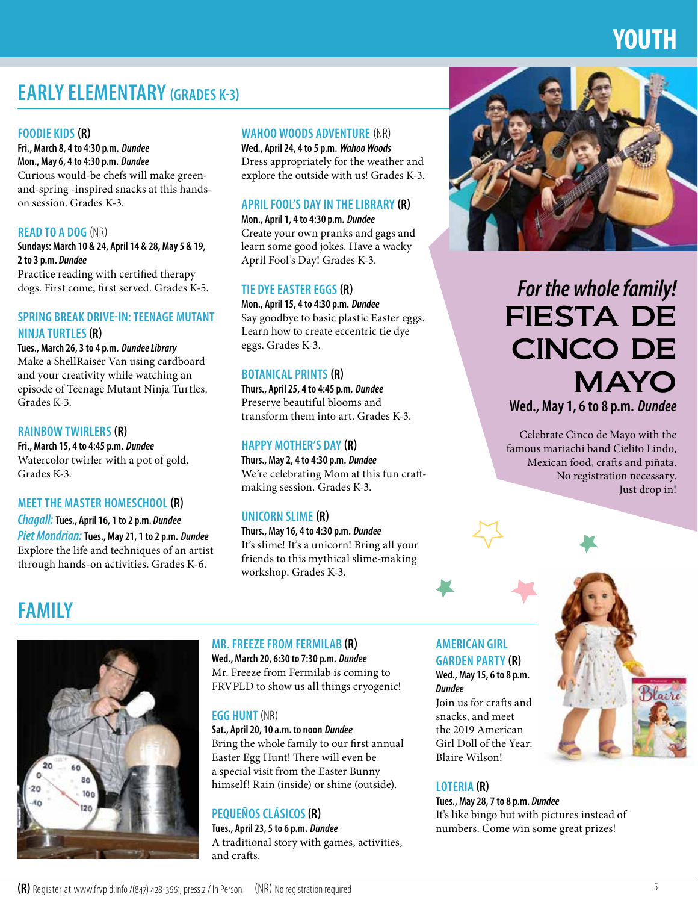# **YOUTH**

## **EARLY ELEMENTARY (GRADES K-3)**

#### **FOODIE KIDS (R)**

**Fri., March 8, 4 to 4:30 p.m.** *Dundee* **Mon., May 6, 4 to 4:30 p.m.** *Dundee* Curious would-be chefs will make greenand-spring -inspired snacks at this handson session. Grades K-3.

#### **READ TO A DOG** (NR)

**Sundays: March 10 & 24, April 14 & 28, May 5 & 19, 2 to 3 p.m.** *Dundee*

Practice reading with certified therapy dogs. First come, first served. Grades K-5.

#### **SPRING BREAK DRIVE-IN: TEENAGE MUTANT NINJA TURTLES (R)**

**Tues., March 26, 3 to 4 p.m.** *Dundee Library* Make a ShellRaiser Van using cardboard and your creativity while watching an episode of Teenage Mutant Ninja Turtles. Grades K-3.

#### **RAINBOW TWIRLERS (R)**

**Fri., March 15, 4 to 4:45 p.m.** *Dundee* Watercolor twirler with a pot of gold. Grades K-3.

#### **MEET THE MASTER HOMESCHOOL (R)**

*Chagall:* **Tues., April 16, 1 to 2 p.m.** *Dundee Piet Mondrian:* **Tues., May 21, 1 to 2 p.m.** *Dundee* Explore the life and techniques of an artist through hands-on activities. Grades K-6.

#### **WAHOO WOODS ADVENTURE** (NR)

**Wed., April 24, 4 to 5 p.m.** *Wahoo Woods* Dress appropriately for the weather and explore the outside with us! Grades K-3.

#### **APRIL FOOL'S DAY IN THE LIBRARY (R)**

**Mon., April 1, 4 to 4:30 p.m.** *Dundee* Create your own pranks and gags and learn some good jokes. Have a wacky April Fool's Day! Grades K-3.

#### **TIE DYE EASTER EGGS (R)**

**Mon., April 15, 4 to 4:30 p.m.** *Dundee* Say goodbye to basic plastic Easter eggs. Learn how to create eccentric tie dye eggs. Grades K-3.

#### **BOTANICAL PRINTS (R)**

**Thurs., April 25, 4 to 4:45 p.m.** *Dundee* Preserve beautiful blooms and transform them into art. Grades K-3.

#### **HAPPY MOTHER'S DAY (R)**

**Thurs., May 2, 4 to 4:30 p.m.** *Dundee* We're celebrating Mom at this fun craftmaking session. Grades K-3.

#### **UNICORN SLIME (R)**

**Thurs., May 16, 4 to 4:30 p.m.** *Dundee* It's slime! It's a unicorn! Bring all your friends to this mythical slime-making workshop. Grades K-3.

### Celebrate Cinco de Mayo with the famous mariachi band Cielito Lindo, Mexican food, crafts and piñata. No registration necessary.





FIESTA DE

*For the whole family!*

CINCO DE

**Wed., May 1, 6 to 8 p.m.** *Dundee*

**MAYO** 

Just drop in!

# **FAMILY**



#### **MR. FREEZE FROM FERMILAB (R)**

**Wed., March 20, 6:30 to 7:30 p.m.** *Dundee* Mr. Freeze from Fermilab is coming to FRVPLD to show us all things cryogenic!

#### **EGG HUNT** (NR)

**Sat., April 20, 10 a.m. to noon** *Dundee* Bring the whole family to our first annual Easter Egg Hunt! There will even be a special visit from the Easter Bunny himself! Rain (inside) or shine (outside).

#### **PEQUEÑOS CLÁSICOS (R)**

**Tues., April 23, 5 to 6 p.m.** *Dundee* A traditional story with games, activities, and crafts.

#### **AMERICAN GIRL GARDEN PARTY (R) Wed., May 15, 6 to 8 p.m.**

*Dundee* Join us for crafts and snacks, and meet the 2019 American Girl Doll of the Year: Blaire Wilson!

#### **LOTERIA (R)**

**Tues., May 28, 7 to 8 p.m.** *Dundee* It's like bingo but with pictures instead of numbers. Come win some great prizes!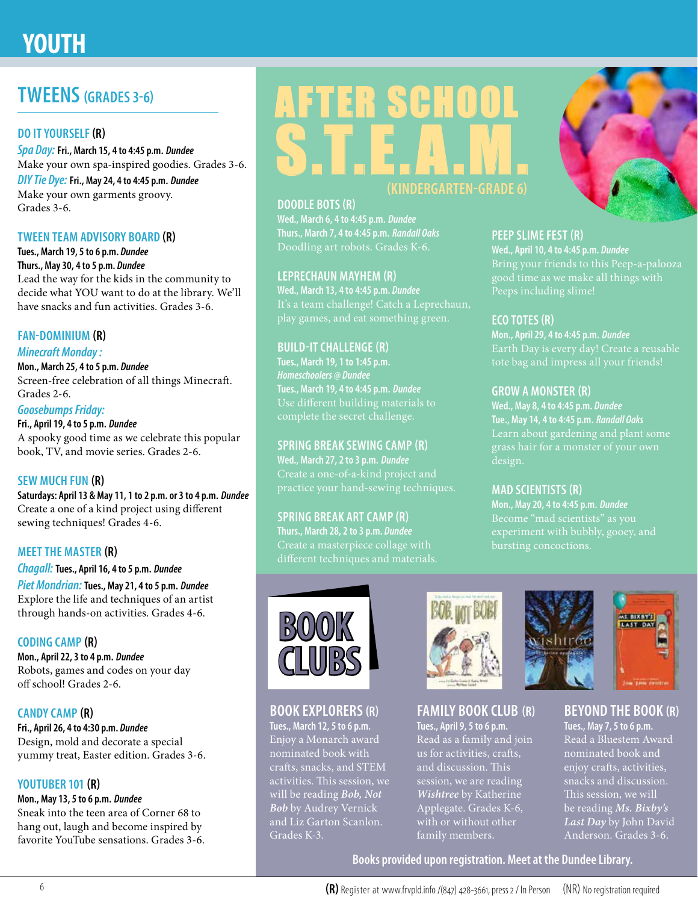# **YOUTH**

### **TWEENS (GRADES 3-6)**

#### **DO IT YOURSELF (R)**

*Spa Day:* **Fri., March 15, 4 to 4:45 p.m.** *Dundee* Make your own spa-inspired goodies. Grades 3-6.

*DIY Tie Dye:* **Fri., May 24, 4 to 4:45 p.m.** *Dundee* Make your own garments groovy. Grades 3-6.

#### **TWEEN TEAM ADVISORY BOARD (R)**

**Tues., March 19, 5 to 6 p.m.** *Dundee* **Thurs., May 30, 4 to 5 p.m.** *Dundee* Lead the way for the kids in the community to decide what YOU want to do at the library. We'll have snacks and fun activities. Grades 3-6.

#### **FAN-DOMINIUM (R)**

#### *Minecraft Monday :*

**Mon., March 25, 4 to 5 p.m.** *Dundee* Screen-free celebration of all things Minecraft. Grades 2-6.

#### *Goosebumps Friday:*

**Fri., April 19, 4 to 5 p.m.** *Dundee* A spooky good time as we celebrate this popular book, TV, and movie series. Grades 2-6.

#### **SEW MUCH FUN (R)**

**Saturdays: April 13 & May 11, 1 to 2 p.m. or 3 to 4 p.m.** *Dundee* Create a one of a kind project using different sewing techniques! Grades 4-6.

#### **MEET THE MASTER (R)**

*Chagall:* **Tues., April 16, 4 to 5 p.m.** *Dundee Piet Mondrian:* **Tues., May 21, 4 to 5 p.m.** *Dundee* Explore the life and techniques of an artist through hands-on activities. Grades 4-6.

#### **CODING CAMP (R)**

**Mon., April 22, 3 to 4 p.m.** *Dundee* Robots, games and codes on your day off school! Grades 2-6.

#### **CANDY CAMP (R)**

**Fri., April 26, 4 to 4:30 p.m.** *Dundee* Design, mold and decorate a special yummy treat, Easter edition. Grades 3-6.

#### **YOUTUBER 101 (R)**

#### **Mon., May 13, 5 to 6 p.m.** *Dundee*

Sneak into the teen area of Corner 68 to hang out, laugh and become inspired by favorite YouTube sensations. Grades 3-6.



#### **DOODLE BOTS (R)**

**Wed., March 6, 4 to 4:45 p.m.** *Dundee* **Thurs., March 7, 4 to 4:45 p.m.** *Randall Oaks* Doodling art robots. Grades K-6.

#### **LEPRECHAUN MAYHEM (R)**

**Wed., March 13, 4 to 4:45 p.m.** *Dundee* It's a team challenge! Catch a Leprechaun, play games, and eat something green.

#### **BUILD-IT CHALLENGE (R)**

**Tues., March 19, 1 to 1:45 p.m. Tues., March 19, 4 to 4:45 p.m.** *Dundee* complete the secret challenge.

#### **SPRING BREAK SEWING CAMP (R)**

**Wed., March 27, 2 to 3 p.m.** *Dundee* Create a one-of-a-kind project and practice your hand-sewing techniques.

#### **SPRING BREAK ART CAMP (R)**

 $B(0)(0)$ 

Grades K-3.

**CLUBS**

**BOOK EXPLORERS(R) Tues., March 12, 5 to 6 p.m.** Enjoy a Monarch award nominated book with crafts, snacks, and STEM activities. This session, we will be reading *Bob, Not Bob* by Audrey Vernick and Liz Garton Scanlon.

**Thurs., March 28, 2 to 3 p.m.** *Dundee*



#### **FAMILY BOOK CLUB (R)**

**Tues., April 9, 5 to 6 p.m.**  Read as a family and join and discussion. This session, we are reading *Wishtree* by Katherine Applegate. Grades K-6, with or without other family members.



#### **PEEP SLIME FEST (R)**

**Wed., April 10, 4 to 4:45 p.m.** *Dundee*

#### **ECO TOTES (R)**

**Mon., April 29, 4 to 4:45 p.m.** *Dundee*

#### **GROW A MONSTER (R)**

**Wed., May 8, 4 to 4:45 p.m.** *Dundee* **Tue., May 14, 4 to 4:45 p.m.** *Randall Oaks* design.

#### **MAD SCIENTISTS (R)**

**Mon., May 20, 4 to 4:45 p.m.** *Dundee*



**Tues., May 7, 5 to 6 p.m.** Read a Bluestem Award nominated book and enjoy crafts, activities, snacks and discussion. be reading *Ms. Bixby's Last Day* by John David Anderson. Grades 3-6.

**Books provided upon registration. Meet at the Dundee Library.**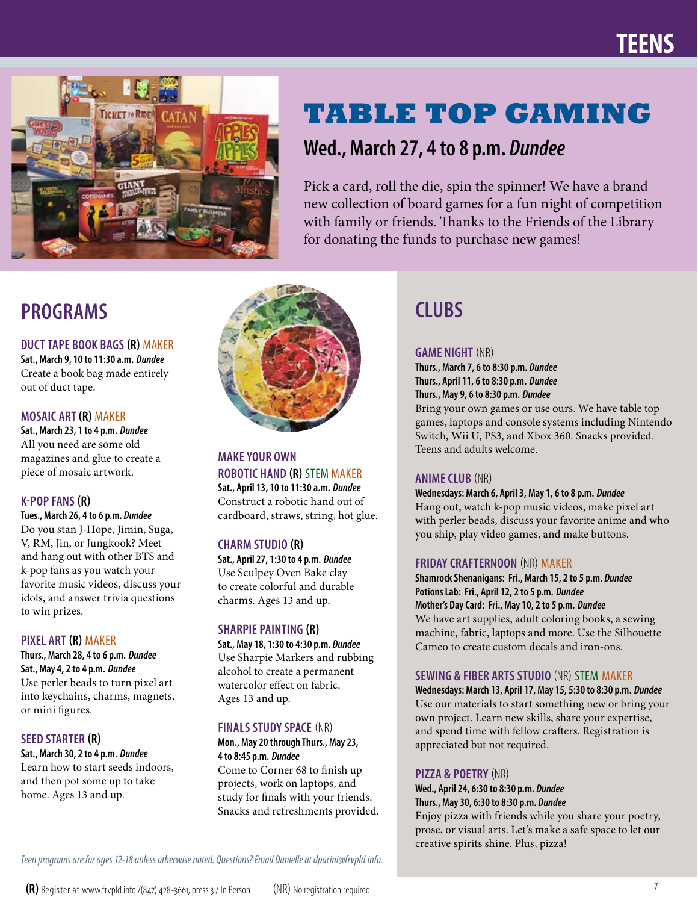

# **TABLE TOP GAMING**

### **Wed., March 27, 4 to 8 p.m.** *Dundee*

Pick a card, roll the die, spin the spinner! We have a brand new collection of board games for a fun night of competition with family or friends. Thanks to the Friends of the Library for donating the funds to purchase new games!

**DUCT TAPE BOOK BAGS (R)** MAKER **Sat., March 9, 10 to 11:30 a.m.** *Dundee* Create a book bag made entirely out of duct tape.

#### **MOSAIC ART (R)** MAKER

**Sat., March 23, 1 to 4 p.m.** *Dundee* All you need are some old magazines and glue to create a piece of mosaic artwork.

#### **K-POP FANS (R)**

**Tues., March 26, 4 to 6 p.m.** *Dundee* Do you stan J-Hope, Jimin, Suga, V, RM, Jin, or Jungkook? Meet and hang out with other BTS and k-pop fans as you watch your favorite music videos, discuss your idols, and answer trivia questions to win prizes.

#### **PIXEL ART (R)** MAKER

**Thurs., March 28, 4 to 6 p.m.** *Dundee* **Sat., May 4, 2 to 4 p.m.** *Dundee* Use perler beads to turn pixel art into keychains, charms, magnets, or mini figures.

#### **SEED STARTER (R)**

**Sat., March 30, 2 to 4 p.m.** *Dundee* Learn how to start seeds indoors, and then pot some up to take home. Ages 13 and up.



**MAKE YOUR OWN ROBOTIC HAND (R)** STEM MAKER **Sat., April 13, 10 to 11:30 a.m.** *Dundee* Construct a robotic hand out of cardboard, straws, string, hot glue.

#### **CHARM STUDIO (R)**

**Sat., April 27, 1:30 to 4 p.m.** *Dundee* Use Sculpey Oven Bake clay to create colorful and durable charms. Ages 13 and up.

#### **SHARPIE PAINTING (R)**

**Sat., May 18, 1:30 to 4:30 p.m.** *Dundee* Use Sharpie Markers and rubbing alcohol to create a permanent watercolor effect on fabric. Ages 13 and up.

#### **FINALS STUDY SPACE** (NR)

**Mon., May 20 through Thurs., May 23, 4 to 8:45 p.m.** *Dundee*

Come to Corner 68 to finish up projects, work on laptops, and study for finals with your friends. Snacks and refreshments provided.

#### **GAME NIGHT** (NR)

**Thurs., March 7, 6 to 8:30 p.m.** *Dundee* **Thurs., April 11, 6 to 8:30 p.m.** *Dundee* **Thurs., May 9, 6 to 8:30 p.m.** *Dundee*

Bring your own games or use ours. We have table top games, laptops and console systems including Nintendo Switch, Wii U, PS3, and Xbox 360. Snacks provided. Teens and adults welcome.

#### **ANIME CLUB** (NR)

**Wednesdays: March 6, April 3, May 1, 6 to 8 p.m.** *Dundee* Hang out, watch k-pop music videos, make pixel art with perler beads, discuss your favorite anime and who you ship, play video games, and make buttons.

#### **FRIDAY CRAFTERNOON** (NR) MAKER

**Shamrock Shenanigans: Fri., March 15, 2 to 5 p.m.** *Dundee* **Potions Lab: Fri., April 12, 2 to 5 p.m.** *Dundee* **Mother's Day Card: Fri., May 10, 2 to 5 p.m.** *Dundee* We have art supplies, adult coloring books, a sewing machine, fabric, laptops and more. Use the Silhouette Cameo to create custom decals and iron-ons.

#### **SEWING & FIBER ARTS STUDIO** (NR) STEMMAKER

**Wednesdays: March 13, April 17, May 15, 5:30 to 8:30 p.m.** *Dundee* Use our materials to start something new or bring your own project. Learn new skills, share your expertise, and spend time with fellow crafters. Registration is appreciated but not required.

#### **PIZZA & POETRY** (NR)

#### **Wed., April 24, 6:30 to 8:30 p.m.** *Dundee* **Thurs., May 30, 6:30 to 8:30 p.m.** *Dundee*

Enjoy pizza with friends while you share your poetry, prose, or visual arts. Let's make a safe space to let our creative spirits shine. Plus, pizza!

*Teen programs are for ages 12-18 unless otherwise noted. Questions? Email Danielle at dpacini@frvpld.info.*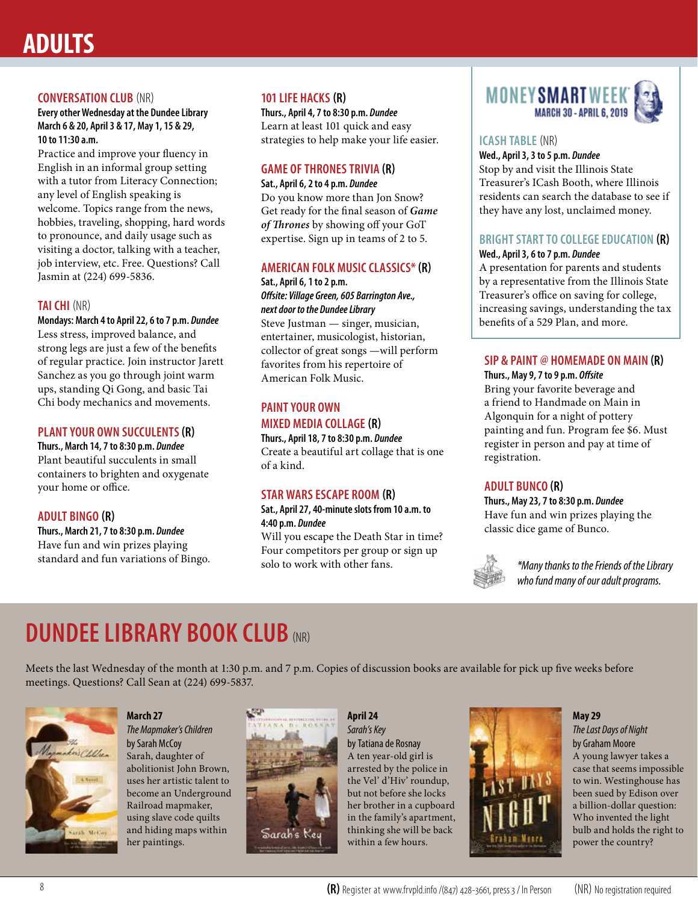# **ADULTS**

#### **CONVERSATION CLUB** (NR)

**Every other Wednesday at the Dundee Library March 6 & 20, April 3 & 17, May 1, 15 & 29, 10 to 11:30 a.m.** 

Practice and improve your fluency in English in an informal group setting with a tutor from Literacy Connection; any level of English speaking is welcome. Topics range from the news, hobbies, traveling, shopping, hard words to pronounce, and daily usage such as visiting a doctor, talking with a teacher, job interview, etc. Free. Questions? Call Jasmin at (224) 699-5836.

#### **TAI CHI** (NR)

**Mondays: March 4 to April 22, 6 to 7 p.m.** *Dundee* Less stress, improved balance, and strong legs are just a few of the benefits of regular practice. Join instructor Jarett Sanchez as you go through joint warm ups, standing Qi Gong, and basic Tai Chi body mechanics and movements.

#### **PLANT YOUR OWN SUCCULENTS (R)**

**Thurs., March 14, 7 to 8:30 p.m.** *Dundee* Plant beautiful succulents in small containers to brighten and oxygenate your home or office.

#### **ADULT BINGO (R)**

**Thurs., March 21, 7 to 8:30 p.m.** *Dundee* Have fun and win prizes playing standard and fun variations of Bingo.

#### **101 LIFE HACKS (R)**

**Thurs., April 4, 7 to 8:30 p.m.** *Dundee* Learn at least 101 quick and easy strategies to help make your life easier.

#### **GAME OF THRONES TRIVIA (R)**

**Sat., April 6, 2 to 4 p.m.** *Dundee* Do you know more than Jon Snow? Get ready for the final season of *Game of Thrones* by showing off your GoT expertise. Sign up in teams of 2 to 5.

#### **AMERICAN FOLK MUSIC CLASSICS\* (R)**

#### **Sat., April 6, 1 to 2 p.m.** *Offsite: Village Green, 605 Barrington Ave., next door to the Dundee Library*

Steve Justman — singer, musician, entertainer, musicologist, historian, collector of great songs —will perform favorites from his repertoire of American Folk Music.

#### **PAINT YOUR OWN MIXED MEDIA COLLAGE (R)**

**Thurs., April 18, 7 to 8:30 p.m.** *Dundee* Create a beautiful art collage that is one of a kind.

#### **STAR WARS ESCAPE ROOM (R)**

#### **Sat., April 27, 40-minute slots from 10 a.m. to 4:40 p.m.** *Dundee*

Will you escape the Death Star in time? Four competitors per group or sign up solo to work with other fans.



#### **ICASH TABLE** (NR)

**Wed., April 3, 3 to 5 p.m.** *Dundee* Stop by and visit the Illinois State Treasurer's ICash Booth, where Illinois residents can search the database to see if they have any lost, unclaimed money.

#### **BRIGHT START TO COLLEGE EDUCATION (R)**

#### **Wed., April 3, 6 to 7 p.m.** *Dundee*

A presentation for parents and students by a representative from the Illinois State Treasurer's office on saving for college, increasing savings, understanding the tax benefits of a 529 Plan, and more.

#### **SIP & PAINT @ HOMEMADE ON MAIN (R)**

**Thurs., May 9, 7 to 9 p.m.** *Offsite* Bring your favorite beverage and a friend to Handmade on Main in Algonquin for a night of pottery painting and fun. Program fee \$6. Must register in person and pay at time of registration.

#### **ADULT BUNCO (R)**

**Thurs., May 23, 7 to 8:30 p.m.** *Dundee* Have fun and win prizes playing the classic dice game of Bunco.



*\*Many thanks to the Friends of the Library who fund many of our adult programs.*

# **DUNDEE LIBRARY BOOK CLUB (NR)**

Meets the last Wednesday of the month at 1:30 p.m. and 7 p.m. Copies of discussion books are available for pick up five weeks before meetings. Questions? Call Sean at (224) 699-5837.



#### **March 27**

*The Mapmaker's Children* by Sarah McCoy Sarah, daughter of abolitionist John Brown, uses her artistic talent to become an Underground Railroad mapmaker, using slave code quilts and hiding maps within her paintings.



**April 24** *Sarah's Key* by Tatiana de Rosnay A ten year-old girl is arrested by the police in the Vel' d'Hiv' roundup, but not before she locks her brother in a cupboard in the family's apartment, thinking she will be back within a few hours.



**May 29** *The Last Days of Night* by Graham Moore A young lawyer takes a case that seems impossible to win. Westinghouse has been sued by Edison over a billion-dollar question: Who invented the light bulb and holds the right to power the country?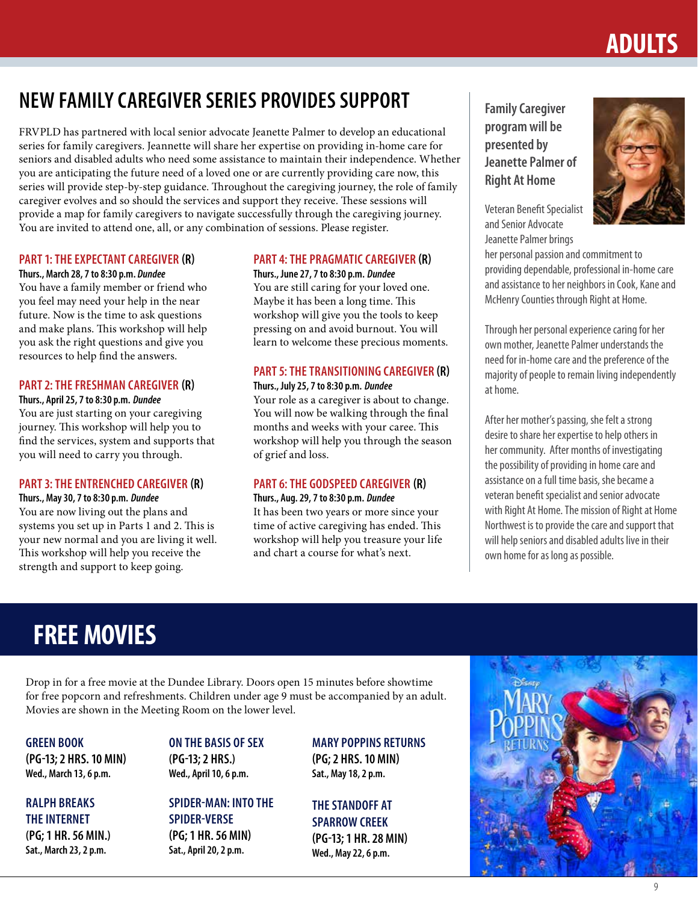# **ADULTS**

# **NEW FAMILY CAREGIVER SERIES PROVIDES SUPPORT**

FRVPLD has partnered with local senior advocate Jeanette Palmer to develop an educational series for family caregivers. Jeannette will share her expertise on providing in-home care for seniors and disabled adults who need some assistance to maintain their independence. Whether you are anticipating the future need of a loved one or are currently providing care now, this series will provide step-by-step guidance. Throughout the caregiving journey, the role of family caregiver evolves and so should the services and support they receive. These sessions will provide a map for family caregivers to navigate successfully through the caregiving journey. You are invited to attend one, all, or any combination of sessions. Please register.

#### **PART 1: THE EXPECTANT CAREGIVER (R)**

**Thurs., March 28, 7 to 8:30 p.m.** *Dundee* You have a family member or friend who you feel may need your help in the near future. Now is the time to ask questions and make plans. This workshop will help you ask the right questions and give you resources to help find the answers.

#### **PART 2: THE FRESHMAN CAREGIVER (R)**

**Thurs., April 25, 7 to 8:30 p.m.** *Dundee*

You are just starting on your caregiving journey. This workshop will help you to find the services, system and supports that you will need to carry you through.

#### **PART 3: THE ENTRENCHED CAREGIVER (R)**

**Thurs., May 30, 7 to 8:30 p.m.** *Dundee*

You are now living out the plans and systems you set up in Parts 1 and 2. This is your new normal and you are living it well. This workshop will help you receive the strength and support to keep going.

#### **PART 4: THE PRAGMATIC CAREGIVER (R)**

**Thurs., June 27, 7 to 8:30 p.m.** *Dundee*

You are still caring for your loved one. Maybe it has been a long time. This workshop will give you the tools to keep pressing on and avoid burnout. You will learn to welcome these precious moments.

#### **PART 5: THE TRANSITIONING CAREGIVER (R)**

#### **Thurs., July 25, 7 to 8:30 p.m.** *Dundee*

Your role as a caregiver is about to change. You will now be walking through the final months and weeks with your caree. This workshop will help you through the season of grief and loss.

#### **PART 6: THE GODSPEED CAREGIVER (R)**

#### **Thurs., Aug. 29, 7 to 8:30 p.m.** *Dundee*

It has been two years or more since your time of active caregiving has ended. This workshop will help you treasure your life and chart a course for what's next.

**Family Caregiver program will be presented by Jeanette Palmer of Right At Home**



Veteran Benefit Specialist and Senior Advocate Jeanette Palmer brings

her personal passion and commitment to providing dependable, professional in-home care and assistance to her neighbors in Cook, Kane and McHenry Counties through Right at Home.

Through her personal experience caring for her own mother, Jeanette Palmer understands the need for in-home care and the preference of the majority of people to remain living independently at home.

After her mother's passing, she felt a strong desire to share her expertise to help others in her community. After months of investigating the possibility of providing in home care and assistance on a full time basis, she became a veteran benefit specialist and senior advocate with Right At Home. The mission of Right at Home Northwest is to provide the care and support that will help seniors and disabled adults live in their own home for as long as possible.

# **FREE MOVIES**

Drop in for a free movie at the Dundee Library. Doors open 15 minutes before showtime for free popcorn and refreshments. Children under age 9 must be accompanied by an adult. Movies are shown in the Meeting Room on the lower level.

**GREEN BOOK (PG-13; 2 HRS. 10 MIN) Wed., March 13, 6 p.m.**

**RALPH BREAKS THE INTERNET (PG; 1 HR. 56 MIN.) Sat., March 23, 2 p.m.** 

#### **ON THE BASIS OF SEX (PG-13; 2 HRS.) Wed., April 10, 6 p.m.**

**SPIDER-MAN: INTO THE SPIDER-VERSE (PG; 1 HR. 56 MIN) Sat., April 20, 2 p.m.**

**MARY POPPINS RETURNS (PG; 2 HRS. 10 MIN) Sat., May 18, 2 p.m.**

**THE STANDOFF AT SPARROW CREEK (PG-13; 1 HR. 28 MIN) Wed., May 22, 6 p.m.**

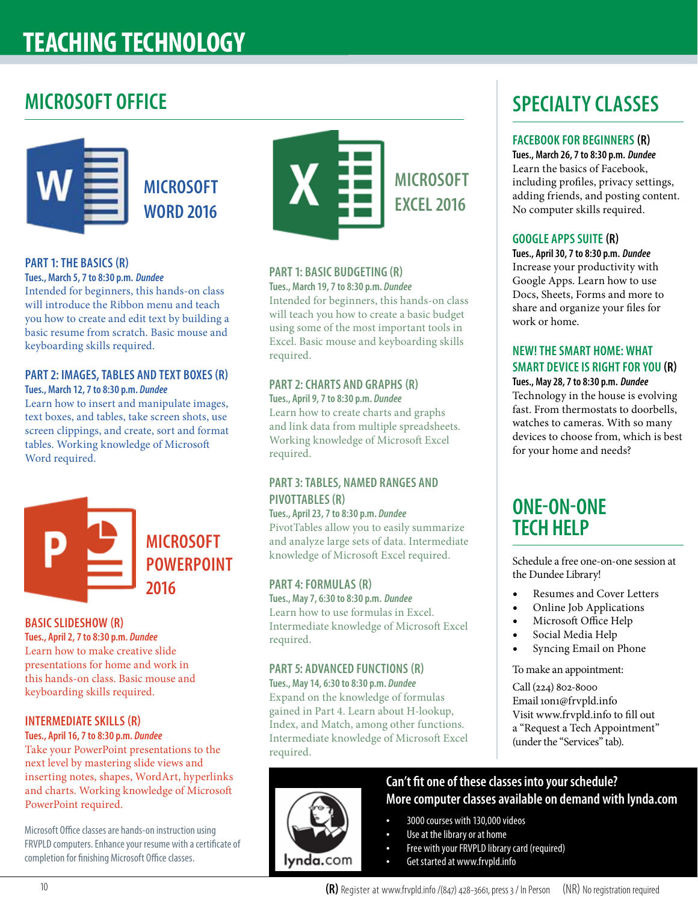# **TEACHING TECHNOLOGY**

### **MICROSOFT OFFICE**



**MICROSOFT WORD 2016**

#### **PART 1: THE BASICS (R)**

#### **Tues., March 5, 7 to 8:30 p.m.** *Dundee*

Intended for beginners, this hands-on class will introduce the Ribbon menu and teach you how to create and edit text by building a basic resume from scratch. Basic mouse and keyboarding skills required.

#### **PART 2: IMAGES, TABLES AND TEXT BOXES (R)**

**Tues., March 12, 7 to 8:30 p.m.** *Dundee*

Learn how to insert and manipulate images, text boxes, and tables, take screen shots, use screen clippings, and create, sort and format tables. Working knowledge of Microsoft Word required.

> **MICROSOFT POWERPOINT 2016**

#### **BASIC SLIDESHOW (R)**

**Tues., April 2, 7 to 8:30 p.m.** *Dundee* Learn how to make creative slide presentations for home and work in this hands-on class. Basic mouse and keyboarding skills required.

#### **INTERMEDIATE SKILLS (R)**

#### **Tues., April 16, 7 to 8:30 p.m.** *Dundee*

Take your PowerPoint presentations to the next level by mastering slide views and inserting notes, shapes, WordArt, hyperlinks and charts. Working knowledge of Microsoft PowerPoint required.

Microsoft Office classes are hands-on instruction using FRVPLD computers. Enhance your resume with a certificate of completion for finishing Microsoft Office classes.



#### **PART 1: BASIC BUDGETING (R)**

**Tues., March 19, 7 to 8:30 p.m.** *Dundee* Intended for beginners, this hands-on class will teach you how to create a basic budget using some of the most important tools in Excel. Basic mouse and keyboarding skills required.

#### **PART 2: CHARTS AND GRAPHS (R) Tues., April 9, 7 to 8:30 p.m.** *Dundee*

Learn how to create charts and graphs and link data from multiple spreadsheets. Working knowledge of Microsoft Excel required.

#### **PART 3: TABLES, NAMED RANGES AND PIVOTTABLES (R)**

**Tues., April 23, 7 to 8:30 p.m.** *Dundee* PivotTables allow you to easily summarize and analyze large sets of data. Intermediate knowledge of Microsoft Excel required.

#### **PART 4: FORMULAS (R)**

lynda.com

**Tues., May 7, 6:30 to 8:30 p.m.** *Dundee* Learn how to use formulas in Excel. Intermediate knowledge of Microsoft Excel required.

#### **PART 5: ADVANCED FUNCTIONS (R)**

**Tues., May 14, 6:30 to 8:30 p.m.** *Dundee* Expand on the knowledge of formulas gained in Part 4. Learn about H-lookup, Index, and Match, among other functions. Intermediate knowledge of Microsoft Excel required.

# **SPECIALTY CLASSES**

#### **FACEBOOK FOR BEGINNERS (R)**

**Tues., March 26, 7 to 8:30 p.m.** *Dundee* Learn the basics of Facebook, including profiles, privacy settings, adding friends, and posting content. No computer skills required.

#### **GOOGLE APPS SUITE (R)**

**Tues., April 30, 7 to 8:30 p.m.** *Dundee* Increase your productivity with Google Apps. Learn how to use Docs, Sheets, Forms and more to share and organize your files for work or home.

#### **NEW! THE SMART HOME: WHAT SMART DEVICE IS RIGHT FOR YOU (R) Tues., May 28, 7 to 8:30 p.m.** *Dundee*

Technology in the house is evolving fast. From thermostats to doorbells, watches to cameras. With so many devices to choose from, which is best for your home and needs?

### **ONE-ON-ONE TECH HELP**

Schedule a free one-on-one session at the Dundee Library!

- Resumes and Cover Letters
- Online Job Applications
- Microsoft Office Help
- Social Media Help
- Syncing Email on Phone

To make an appointment:

Call (224) 802-8000 Email 1on1@frvpld.info Visit www.frvpld.info to fill out a "Request a Tech Appointment" (under the "Services" tab).

#### **Can't fit one of these classes into your schedule? More computer classes available on demand with lynda.com**

- 3000 courses with 130,000 videos
- Use at the library or at home
- Free with your FRVPLD library card (required)
- Get started at www.frvpld.info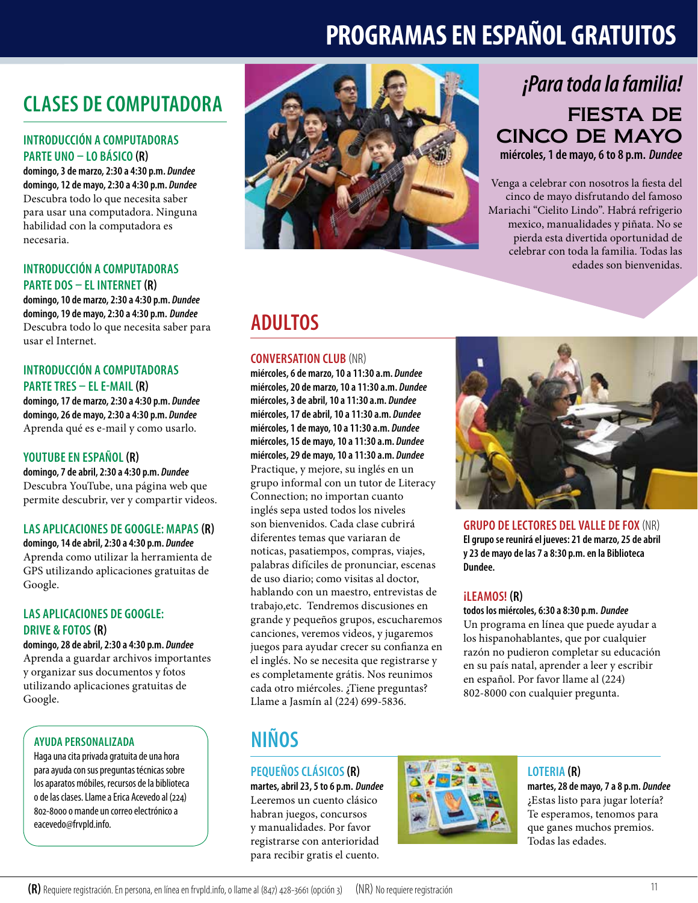# **PROGRAMAS EN ESPAÑOL GRATUITOS**

# **CLASES DE COMPUTADORA**

#### **INTRODUCCIÓN A COMPUTADORAS PARTE UNO – LO BÁSICO (R)**

**domingo, 3 de marzo, 2:30 a 4:30 p.m.** *Dundee* **domingo, 12 de mayo, 2:30 a 4:30 p.m.** *Dundee* Descubra todo lo que necesita saber para usar una computadora. Ninguna habilidad con la computadora es necesaria.

#### **INTRODUCCIÓN A COMPUTADORAS PARTE DOS – EL INTERNET (R)**

**domingo, 10 de marzo, 2:30 a 4:30 p.m.** *Dundee* **domingo, 19 de mayo, 2:30 a 4:30 p.m.** *Dundee* Descubra todo lo que necesita saber para usar el Internet.

#### **INTRODUCCIÓN A COMPUTADORAS PARTE TRES – EL E-MAIL (R)**

**domingo, 17 de marzo, 2:30 a 4:30 p.m.** *Dundee* **domingo, 26 de mayo, 2:30 a 4:30 p.m.** *Dundee* Aprenda qué es e-mail y como usarlo.

#### **YOUTUBE EN ESPAÑOL (R)**

**domingo, 7 de abril, 2:30 a 4:30 p.m.** *Dundee* Descubra YouTube, una página web que permite descubrir, ver y compartir videos.

#### **LAS APLICACIONES DE GOOGLE: MAPAS (R)**

**domingo, 14 de abril, 2:30 a 4:30 p.m.** *Dundee* Aprenda como utilizar la herramienta de GPS utilizando aplicaciones gratuitas de Google.

#### **LAS APLICACIONES DE GOOGLE: DRIVE & FOTOS (R)**

**domingo, 28 de abril, 2:30 a 4:30 p.m.** *Dundee* Aprenda a guardar archivos importantes y organizar sus documentos y fotos utilizando aplicaciones gratuitas de Google.

#### **AYUDA PERSONALIZADA**

Haga una cita privada gratuita de una hora para ayuda con sus preguntas técnicas sobre los aparatos móbiles, recursos de la biblioteca o de las clases. Llame a Erica Acevedo al (224) 802-8000 o mande un correo electrónico a eacevedo@frvpld.info.



### FIESTA DE CINCO DE MAYO **miércoles, 1 de mayo, 6 to 8 p.m.** *Dundee ¡Para toda la familia!*

Venga a celebrar con nosotros la fiesta del cinco de mayo disfrutando del famoso Mariachi "Cielito Lindo". Habrá refrigerio mexico, manualidades y piñata. No se pierda esta divertida oportunidad de celebrar con toda la familia. Todas las edades son bienvenidas.

### **ADULTOS**

#### **CONVERSATION CLUB** (NR)

**miércoles, 6 de marzo, 10 a 11:30 a.m.** *Dundee* **miércoles, 20 de marzo, 10 a 11:30 a.m.** *Dundee* **miércoles, 3 de abril, 10 a 11:30 a.m.** *Dundee* **miércoles, 17 de abril, 10 a 11:30 a.m.** *Dundee* **miércoles, 1 de mayo, 10 a 11:30 a.m.** *Dundee* **miércoles, 15 de mayo, 10 a 11:30 a.m.** *Dundee* **miércoles, 29 de mayo, 10 a 11:30 a.m.** *Dundee* Practique, y mejore, su inglés en un grupo informal con un tutor de Literacy Connection; no importan cuanto inglés sepa usted todos los niveles son bienvenidos. Cada clase cubrirá diferentes temas que variaran de noticas, pasatiempos, compras, viajes, palabras difíciles de pronunciar, escenas de uso diario; como visitas al doctor, hablando con un maestro, entrevistas de trabajo,etc. Tendremos discusiones en grande y pequeños grupos, escucharemos canciones, veremos videos, y jugaremos juegos para ayudar crecer su confianza en el inglés. No se necesita que registrarse y es completamente grátis. Nos reunimos cada otro miércoles. ¿Tiene preguntas? Llame a Jasmín al (224) 699-5836.



**GRUPO DE LECTORES DEL VALLE DE FOX** (NR) **El grupo se reunirá el jueves: 21 de marzo, 25 de abril y 23 de mayo de las 7 a 8:30 p.m. en la Biblioteca Dundee.**

#### **¡LEAMOS! (R)**

**todos los miércoles, 6:30 a 8:30 p.m.** *Dundee*

Un programa en línea que puede ayudar a los hispanohablantes, que por cualquier razón no pudieron completar su educación en su país natal, aprender a leer y escribir en español. Por favor llame al (224) 802-8000 con cualquier pregunta.

# **NIÑOS**

**PEQUEÑOS CLÁSICOS (R) martes, abril 23, 5 to 6 p.m.** *Dundee* Leeremos un cuento clásico habran juegos, concursos y manualidades. Por favor registrarse con anterioridad para recibir gratis el cuento.



#### **LOTERIA (R)**

**martes, 28 de mayo, 7 a 8 p.m.** *Dundee* ¿Estas listo para jugar lotería? Te esperamos, tenomos para que ganes muchos premios. Todas las edades.